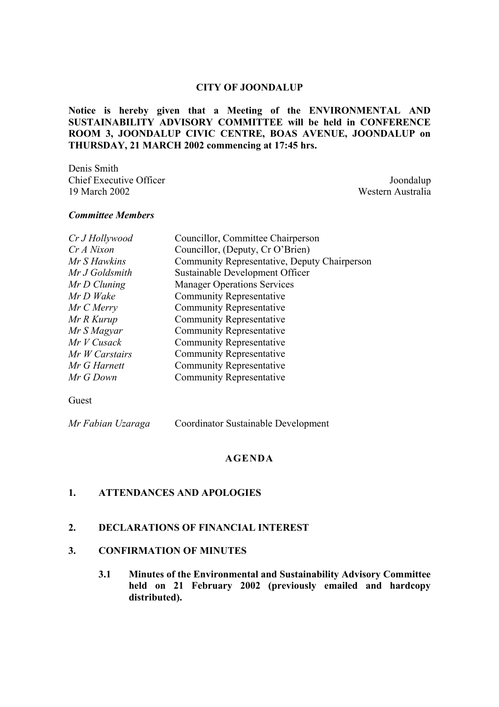#### **CITY OF JOONDALUP**

**Notice is hereby given that a Meeting of the ENVIRONMENTAL AND SUSTAINABILITY ADVISORY COMMITTEE will be held in CONFERENCE ROOM 3, JOONDALUP CIVIC CENTRE, BOAS AVENUE, JOONDALUP on THURSDAY, 21 MARCH 2002 commencing at 17:45 hrs.**

Denis Smith Chief Executive Officer  $J$ oondalup 19 March 2002 Western Australia

#### *Committee Members*

| Cr J Hollywood | Councillor, Committee Chairperson            |
|----------------|----------------------------------------------|
| Cr A Nixon     | Councillor, (Deputy, Cr O'Brien)             |
| Mr S Hawkins   | Community Representative, Deputy Chairperson |
| Mr J Goldsmith | Sustainable Development Officer              |
| $MrD$ Cluning  | <b>Manager Operations Services</b>           |
| Mr D Wake      | <b>Community Representative</b>              |
| Mr C Merry     | <b>Community Representative</b>              |
| Mr R Kurup     | <b>Community Representative</b>              |
| Mr S Magyar    | <b>Community Representative</b>              |
| $MrV$ Cusack   | <b>Community Representative</b>              |
| Mr W Carstairs | <b>Community Representative</b>              |
| Mr G Harnett   | <b>Community Representative</b>              |
| Mr G Down      | <b>Community Representative</b>              |

Guest

*Mr Fabian Uzaraga* Coordinator Sustainable Development

#### **AGENDA**

#### **1. ATTENDANCES AND APOLOGIES**

#### **2. DECLARATIONS OF FINANCIAL INTEREST**

#### **3. CONFIRMATION OF MINUTES**

**3.1 Minutes of the Environmental and Sustainability Advisory Committee held on 21 February 2002 (previously emailed and hardcopy distributed).**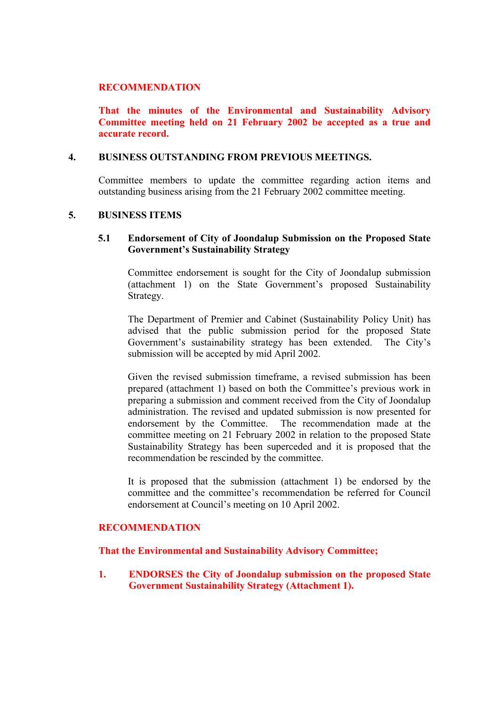#### **RECOMMENDATION**

**That the minutes of the Environmental and Sustainability Advisory Committee meeting held on 21 February 2002 be accepted as a true and accurate record.**

#### **4. BUSINESS OUTSTANDING FROM PREVIOUS MEETINGS.**

Committee members to update the committee regarding action items and outstanding business arising from the 21 February 2002 committee meeting.

#### **5. BUSINESS ITEMS**

## **5.1 Endorsement of City of Joondalup Submission on the Proposed State Government's Sustainability Strategy**

Committee endorsement is sought for the City of Joondalup submission (attachment 1) on the State Government's proposed Sustainability Strategy.

The Department of Premier and Cabinet (Sustainability Policy Unit) has advised that the public submission period for the proposed State Government's sustainability strategy has been extended. The City's submission will be accepted by mid April 2002.

Given the revised submission timeframe, a revised submission has been prepared (attachment 1) based on both the Committee's previous work in preparing a submission and comment received from the City of Joondalup administration. The revised and updated submission is now presented for endorsement by the Committee. The recommendation made at the committee meeting on 21 February 2002 in relation to the proposed State Sustainability Strategy has been superceded and it is proposed that the recommendation be rescinded by the committee.

It is proposed that the submission (attachment 1) be endorsed by the committee and the committee's recommendation be referred for Council endorsement at Council's meeting on 10 April 2002.

### **RECOMMENDATION**

#### **That the Environmental and Sustainability Advisory Committee;**

**1. ENDORSES the City of Joondalup submission on the proposed State Government Sustainability Strategy (Attachment 1).**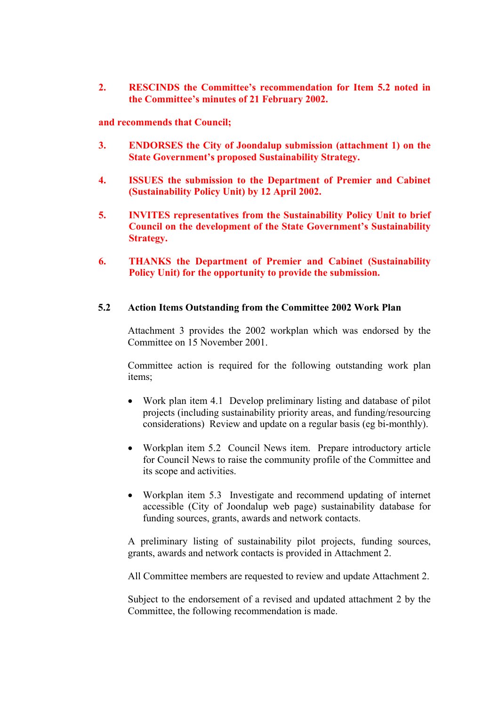**2. RESCINDS the Committee's recommendation for Item 5.2 noted in the Committee's minutes of 21 February 2002.**

**and recommends that Council;**

- **3. ENDORSES the City of Joondalup submission (attachment 1) on the State Government's proposed Sustainability Strategy.**
- **4. ISSUES the submission to the Department of Premier and Cabinet (Sustainability Policy Unit) by 12 April 2002.**
- **5. INVITES representatives from the Sustainability Policy Unit to brief Council on the development of the State Government's Sustainability Strategy.**
- **6. THANKS the Department of Premier and Cabinet (Sustainability Policy Unit) for the opportunity to provide the submission.**

#### **5.2 Action Items Outstanding from the Committee 2002 Work Plan**

Attachment 3 provides the 2002 workplan which was endorsed by the Committee on 15 November 2001.

Committee action is required for the following outstanding work plan items;

- Work plan item 4.1 Develop preliminary listing and database of pilot projects (including sustainability priority areas, and funding/resourcing considerations) Review and update on a regular basis (eg bi-monthly).
- Workplan item 5.2 Council News item. Prepare introductory article for Council News to raise the community profile of the Committee and its scope and activities.
- Workplan item 5.3 Investigate and recommend updating of internet accessible (City of Joondalup web page) sustainability database for funding sources, grants, awards and network contacts.

A preliminary listing of sustainability pilot projects, funding sources, grants, awards and network contacts is provided in Attachment 2.

All Committee members are requested to review and update Attachment 2.

Subject to the endorsement of a revised and updated attachment 2 by the Committee, the following recommendation is made.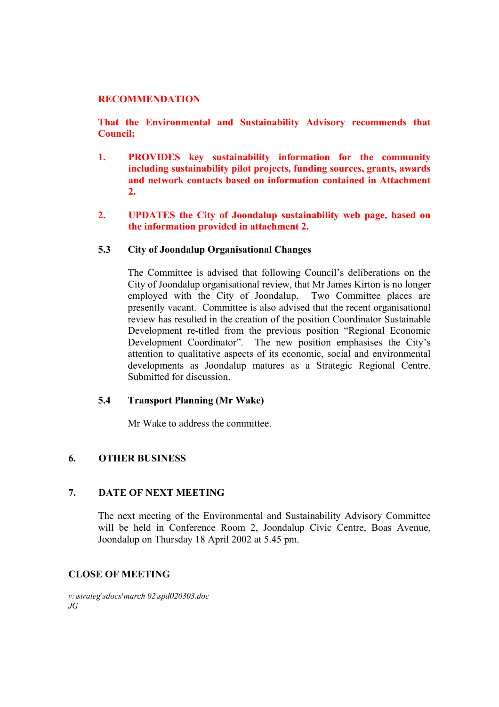#### **RECOMMENDATION**

**That the Environmental and Sustainability Advisory recommends that Council;**

- **1. PROVIDES key sustainability information for the community including sustainability pilot projects, funding sources, grants, awards and network contacts based on information contained in Attachment 2.**
- **2. UPDATES the City of Joondalup sustainability web page, based on the information provided in attachment 2.**

## **5.3 City of Joondalup Organisational Changes**

The Committee is advised that following Council's deliberations on the City of Joondalup organisational review, that Mr James Kirton is no longer employed with the City of Joondalup. Two Committee places are presently vacant. Committee is also advised that the recent organisational review has resulted in the creation of the position Coordinator Sustainable Development re-titled from the previous position "Regional Economic Development Coordinator". The new position emphasises the City's attention to qualitative aspects of its economic, social and environmental developments as Joondalup matures as a Strategic Regional Centre. Submitted for discussion.

#### **5.4 Transport Planning (Mr Wake)**

Mr Wake to address the committee.

## **6. OTHER BUSINESS**

#### **7. DATE OF NEXT MEETING**

The next meeting of the Environmental and Sustainability Advisory Committee will be held in Conference Room 2, Joondalup Civic Centre, Boas Avenue, Joondalup on Thursday 18 April 2002 at 5.45 pm.

### **CLOSE OF MEETING**

*v:\strateg\sdocs\march 02\spd020303.doc JG*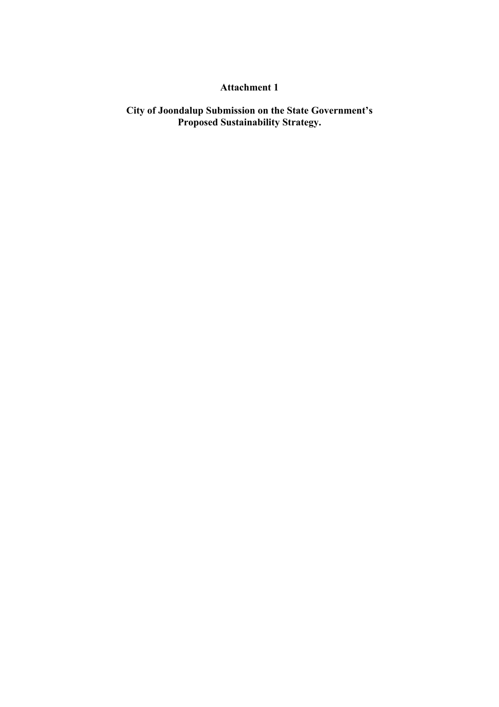## **Attachment 1**

**City of Joondalup Submission on the State Government's Proposed Sustainability Strategy.**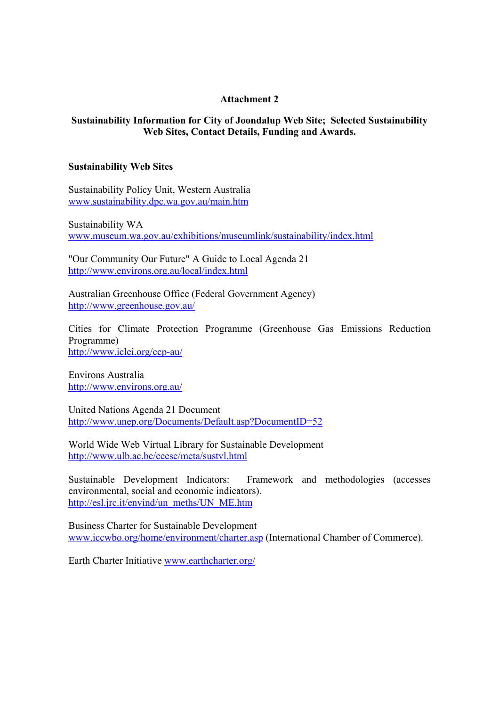## **Attachment 2**

## **Sustainability Information for City of Joondalup Web Site; Selected Sustainability Web Sites, Contact Details, Funding and Awards.**

#### **Sustainability Web Sites**

Sustainability Policy Unit, Western Australia www.sustainability.dpc.wa.gov.au/main.htm

Sustainability WA www.museum.wa.gov.au/exhibitions/museumlink/sustainability/index.html

"Our Community Our Future" A Guide to Local Agenda 21 http://www.environs.org.au/local/index.html

Australian Greenhouse Office (Federal Government Agency) http://www.greenhouse.gov.au/

Cities for Climate Protection Programme (Greenhouse Gas Emissions Reduction Programme) http://www.iclei.org/ccp-au/

Environs Australia http://www.environs.org.au/

United Nations Agenda 21 Document http://www.unep.org/Documents/Default.asp?DocumentID=52

World Wide Web Virtual Library for Sustainable Development http://www.ulb.ac.be/ceese/meta/sustvl.html

Sustainable Development Indicators: Framework and methodologies (accesses environmental, social and economic indicators). http://esl.jrc.it/envind/un\_meths/UN\_ME.htm

Business Charter for Sustainable Development www.iccwbo.org/home/environment/charter.asp (International Chamber of Commerce).

Earth Charter Initiative www.earthcharter.org/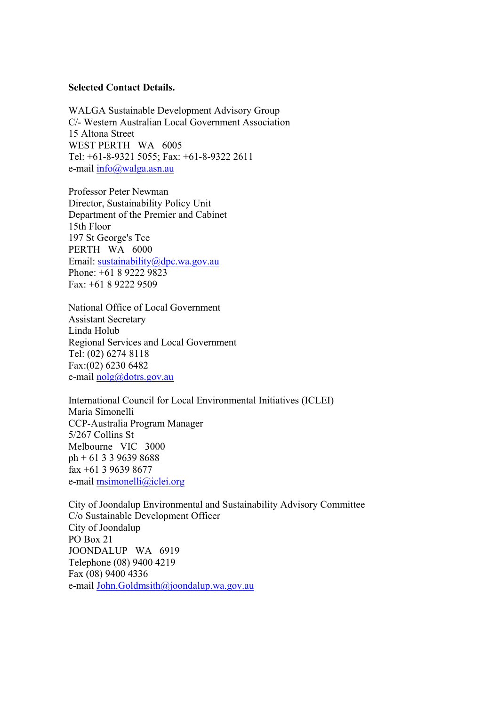#### **Selected Contact Details.**

WALGA Sustainable Development Advisory Group C/- Western Australian Local Government Association 15 Altona Street WEST PERTH WA 6005 Tel: +61-8-9321 5055; Fax: +61-8-9322 2611 e-mail info@walga.asn.au

Professor Peter Newman Director, Sustainability Policy Unit Department of the Premier and Cabinet 15th Floor 197 St George's Tce PERTH WA 6000 Email: sustainability@dpc.wa.gov.au Phone: +61 8 9222 9823 Fax: +61 8 9222 9509

National Office of Local Government Assistant Secretary Linda Holub Regional Services and Local Government Tel: (02) 6274 8118 Fax:(02) 6230 6482 e-mail nolg@dotrs.gov.au

International Council for Local Environmental Initiatives (ICLEI) Maria Simonelli CCP-Australia Program Manager 5/267 Collins St Melbourne VIC 3000 ph + 61 3 3 9639 8688 fax +61 3 9639 8677 e-mail msimonelli@iclei.org

City of Joondalup Environmental and Sustainability Advisory Committee C/o Sustainable Development Officer City of Joondalup PO Box 21 JOONDALUP WA 6919 Telephone (08) 9400 4219 Fax (08) 9400 4336 e-mail John.Goldmsith@joondalup.wa.gov.au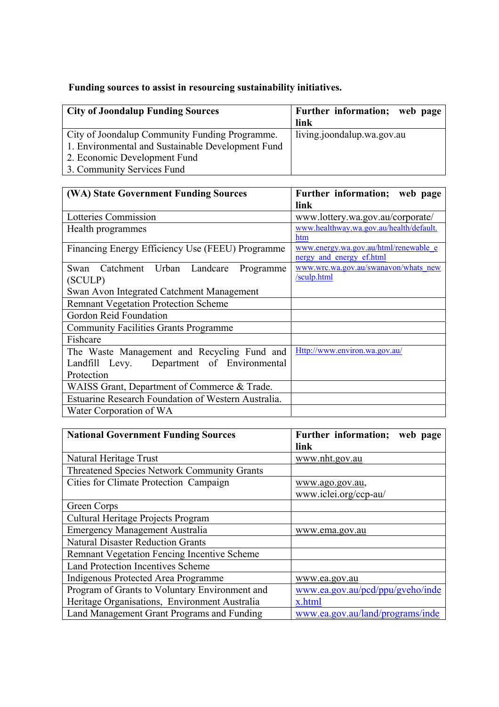# **Funding sources to assist in resourcing sustainability initiatives.**

| <b>City of Joondalup Funding Sources</b>          | Further information; web page<br>link |
|---------------------------------------------------|---------------------------------------|
| City of Joondalup Community Funding Programme.    | living.joondalup.wa.gov.au            |
| 1. Environmental and Sustainable Development Fund |                                       |
| 2. Economic Development Fund                      |                                       |
| 3. Community Services Fund                        |                                       |

| <b>(WA) State Government Funding Sources</b>                                                            | Further information; web page<br>link                             |  |
|---------------------------------------------------------------------------------------------------------|-------------------------------------------------------------------|--|
| Lotteries Commission                                                                                    | www.lottery.wa.gov.au/corporate/                                  |  |
| Health programmes                                                                                       | www.healthway.wa.gov.au/health/default.<br>htm                    |  |
| Financing Energy Efficiency Use (FEEU) Programme                                                        | www.energy.wa.gov.au/html/renewable_e<br>nergy and energy ef.html |  |
| Swan Catchment Urban Landcare<br>Programme<br>(SCULP)                                                   | www.wrc.wa.gov.au/swanavon/whats new<br>/sculp.html               |  |
| Swan Avon Integrated Catchment Management                                                               |                                                                   |  |
| <b>Remnant Vegetation Protection Scheme</b>                                                             |                                                                   |  |
| Gordon Reid Foundation                                                                                  |                                                                   |  |
| <b>Community Facilities Grants Programme</b>                                                            |                                                                   |  |
| Fishcare                                                                                                |                                                                   |  |
| The Waste Management and Recycling Fund and<br>Landfill Levy. Department of Environmental<br>Protection | Http://www.environ.wa.gov.au/                                     |  |
| WAISS Grant, Department of Commerce & Trade.                                                            |                                                                   |  |
| <b>Estuarine Research Foundation of Western Australia.</b>                                              |                                                                   |  |
| Water Corporation of WA                                                                                 |                                                                   |  |

| <b>National Government Funding Sources</b>         | Further information; web page<br>link |
|----------------------------------------------------|---------------------------------------|
|                                                    |                                       |
| Natural Heritage Trust                             | www.nht.gov.au                        |
| <b>Threatened Species Network Community Grants</b> |                                       |
| Cities for Climate Protection Campaign             | www.ago.gov.au,                       |
|                                                    | www.iclei.org/ccp-au/                 |
| Green Corps                                        |                                       |
| Cultural Heritage Projects Program                 |                                       |
| <b>Emergency Management Australia</b>              | www.ema.gov.au                        |
| <b>Natural Disaster Reduction Grants</b>           |                                       |
| Remnant Vegetation Fencing Incentive Scheme        |                                       |
| <b>Land Protection Incentives Scheme</b>           |                                       |
| Indigenous Protected Area Programme                | www.ea.gov.au                         |
| Program of Grants to Voluntary Environment and     | www.ea.gov.au/pcd/ppu/gyeho/inde      |
| Heritage Organisations, Environment Australia      | x.html                                |
| Land Management Grant Programs and Funding         | www.ea.gov.au/land/programs/inde      |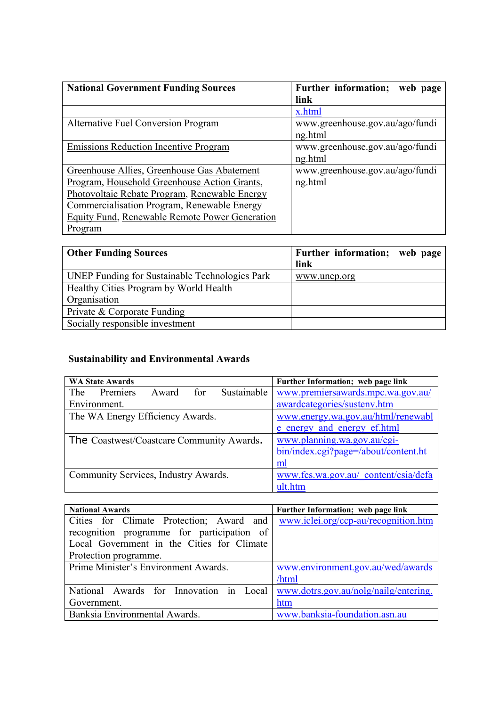| <b>National Government Funding Sources</b>     | <b>Further information;</b><br>web page |
|------------------------------------------------|-----------------------------------------|
|                                                | link                                    |
|                                                | x.html                                  |
| <b>Alternative Fuel Conversion Program</b>     | www.greenhouse.gov.au/ago/fundi         |
|                                                | ng.html                                 |
| <b>Emissions Reduction Incentive Program</b>   | www.greenhouse.gov.au/ago/fundi         |
|                                                | ng.html                                 |
| Greenhouse Allies, Greenhouse Gas Abatement    | www.greenhouse.gov.au/ago/fundi         |
| Program, Household Greenhouse Action Grants,   | ng.html                                 |
| Photovoltaic Rebate Program, Renewable Energy  |                                         |
| Commercialisation Program, Renewable Energy    |                                         |
| Equity Fund, Renewable Remote Power Generation |                                         |
| Program                                        |                                         |

| <b>Other Funding Sources</b>                          | Further information; web page |  |
|-------------------------------------------------------|-------------------------------|--|
|                                                       | link                          |  |
| <b>UNEP Funding for Sustainable Technologies Park</b> | www.unep.org                  |  |
| Healthy Cities Program by World Health                |                               |  |
| Organisation                                          |                               |  |
| Private & Corporate Funding                           |                               |  |
| Socially responsible investment                       |                               |  |

# **Sustainability and Environmental Awards**

| <b>WA State Awards</b>                      | Further Information; web page link   |  |  |
|---------------------------------------------|--------------------------------------|--|--|
| Sustainable<br>Premiers<br>Award for<br>The | www.premiersawards.mpc.wa.gov.au/    |  |  |
| Environment.                                | awardcategories/sustenv.htm          |  |  |
| The WA Energy Efficiency Awards.            | www.energy.wa.gov.au/html/renewabl   |  |  |
|                                             | e energy and energy ef.html          |  |  |
| The Coastwest/Coastcare Community Awards.   | www.planning.wa.gov.au/cgi-          |  |  |
|                                             | bin/index.cgi?page=/about/content.ht |  |  |
|                                             | ml                                   |  |  |
| Community Services, Industry Awards.        | www.fcs.wa.gov.au/ content/csia/defa |  |  |
|                                             | ult.htm                              |  |  |

| <b>National Awards</b>                     | Further Information; web page link    |  |  |
|--------------------------------------------|---------------------------------------|--|--|
| Cities for Climate Protection; Award and   | www.iclei.org/ccp-au/recognition.htm  |  |  |
| recognition programme for participation of |                                       |  |  |
| Local Government in the Cities for Climate |                                       |  |  |
| Protection programme.                      |                                       |  |  |
| Prime Minister's Environment Awards.       | www.environment.gov.au/wed/awards     |  |  |
|                                            | /html                                 |  |  |
| National Awards for Innovation in Local    | www.dotrs.gov.au/nolg/nailg/entering. |  |  |
| Government.                                | htm                                   |  |  |
| Banksia Environmental Awards.              | www.banksia-foundation.asn.au         |  |  |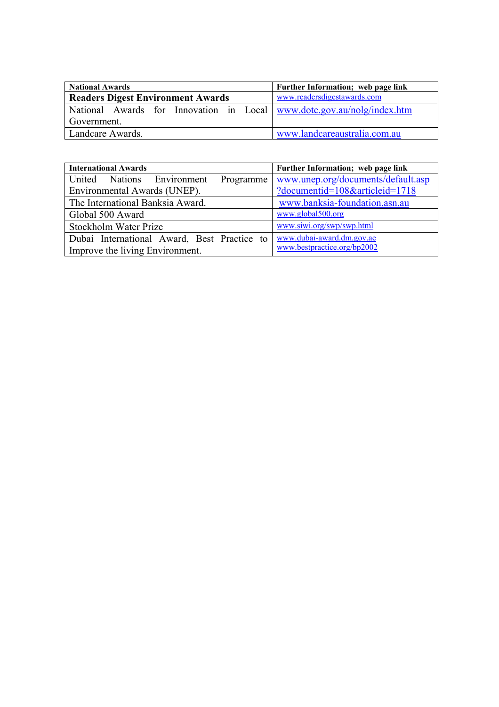| <b>National Awards</b>                   |  |  | Further Information; web page link |  |                                                                        |
|------------------------------------------|--|--|------------------------------------|--|------------------------------------------------------------------------|
| <b>Readers Digest Environment Awards</b> |  |  | www.readersdigestawards.com        |  |                                                                        |
|                                          |  |  |                                    |  | National Awards for Innovation in Local www.dotc.gov.au/nolg/index.htm |
| Government.                              |  |  |                                    |  |                                                                        |
| Landcare Awards.                         |  |  |                                    |  | www.landcareaustralia.com.au                                           |

| <b>International Awards</b>                                       | Further Information; web page link |  |  |  |
|-------------------------------------------------------------------|------------------------------------|--|--|--|
| United Nations Environment<br>Programme                           | www.unep.org/documents/default.asp |  |  |  |
| Environmental Awards (UNEP).                                      | ?documentid=108&articleid=1718     |  |  |  |
| www.banksia-foundation.asn.au<br>The International Banksia Award. |                                    |  |  |  |
| www.global500.org<br>Global 500 Award                             |                                    |  |  |  |
| Stockholm Water Prize                                             | www.siwi.org/swp/swp.html          |  |  |  |
| Dubai International Award, Best Practice to                       | www.dubai-award.dm.gov.ae          |  |  |  |
| Improve the living Environment.                                   | www.bestpractice.org/bp2002        |  |  |  |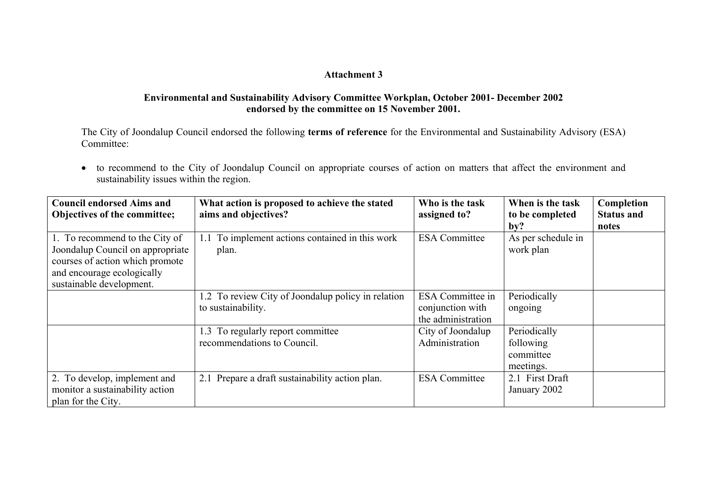## **Attachment 3**

## **Environmental and Sustainability Advisory Committee Workplan, October 2001- December 2002 endorsed by the committee on 15 November 2001.**

The City of Joondalup Council endorsed the following **terms of reference** for the Environmental and Sustainability Advisory (ESA) Committee:

• to recommend to the City of Joondalup Council on appropriate courses of action on matters that affect the environment and sustainability issues within the region.

| <b>Council endorsed Aims and</b><br>Objectives of the committee;                                                                                                | What action is proposed to achieve the stated<br>aims and objectives?    | Who is the task<br>assigned to?                                   | When is the task<br>to be completed<br>by?          | Completion<br><b>Status and</b><br>notes |
|-----------------------------------------------------------------------------------------------------------------------------------------------------------------|--------------------------------------------------------------------------|-------------------------------------------------------------------|-----------------------------------------------------|------------------------------------------|
| 1. To recommend to the City of<br>Joondalup Council on appropriate<br>courses of action which promote<br>and encourage ecologically<br>sustainable development. | To implement actions contained in this work<br>plan.                     | <b>ESA</b> Committee                                              | As per schedule in<br>work plan                     |                                          |
|                                                                                                                                                                 | 1.2 To review City of Joondalup policy in relation<br>to sustainability. | <b>ESA</b> Committee in<br>conjunction with<br>the administration | Periodically<br>ongoing                             |                                          |
|                                                                                                                                                                 | 1.3 To regularly report committee<br>recommendations to Council.         | City of Joondalup<br>Administration                               | Periodically<br>following<br>committee<br>meetings. |                                          |
| 2. To develop, implement and<br>monitor a sustainability action<br>plan for the City.                                                                           | 2.1 Prepare a draft sustainability action plan.                          | <b>ESA</b> Committee                                              | 2.1 First Draft<br>January 2002                     |                                          |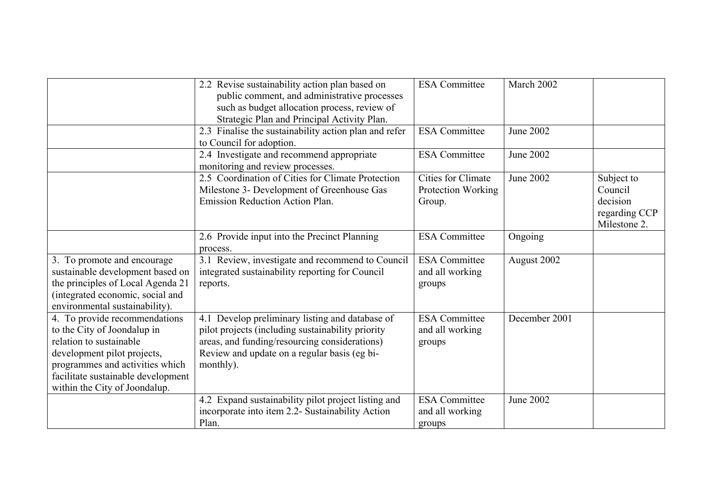|                                                                                                                                                                                                                                  | 2.2 Revise sustainability action plan based on<br>public comment, and administrative processes<br>such as budget allocation process, review of                                                                     | <b>ESA</b> Committee                               | March 2002       |                                                                    |
|----------------------------------------------------------------------------------------------------------------------------------------------------------------------------------------------------------------------------------|--------------------------------------------------------------------------------------------------------------------------------------------------------------------------------------------------------------------|----------------------------------------------------|------------------|--------------------------------------------------------------------|
|                                                                                                                                                                                                                                  | Strategic Plan and Principal Activity Plan.<br>2.3 Finalise the sustainability action plan and refer                                                                                                               | <b>ESA</b> Committee                               | <b>June 2002</b> |                                                                    |
|                                                                                                                                                                                                                                  | to Council for adoption.<br>2.4 Investigate and recommend appropriate<br>monitoring and review processes.                                                                                                          | <b>ESA</b> Committee                               | <b>June 2002</b> |                                                                    |
|                                                                                                                                                                                                                                  | 2.5 Coordination of Cities for Climate Protection<br>Milestone 3- Development of Greenhouse Gas<br><b>Emission Reduction Action Plan.</b>                                                                          | Cities for Climate<br>Protection Working<br>Group. | <b>June 2002</b> | Subject to<br>Council<br>decision<br>regarding CCP<br>Milestone 2. |
|                                                                                                                                                                                                                                  | 2.6 Provide input into the Precinct Planning<br>process.                                                                                                                                                           | <b>ESA Committee</b>                               | Ongoing          |                                                                    |
| 3. To promote and encourage<br>sustainable development based on<br>the principles of Local Agenda 21<br>(integrated economic, social and<br>environmental sustainability).                                                       | 3.1 Review, investigate and recommend to Council<br>integrated sustainability reporting for Council<br>reports.                                                                                                    | <b>ESA</b> Committee<br>and all working<br>groups  | August 2002      |                                                                    |
| 4. To provide recommendations<br>to the City of Joondalup in<br>relation to sustainable<br>development pilot projects,<br>programmes and activities which<br>facilitate sustainable development<br>within the City of Joondalup. | 4.1 Develop preliminary listing and database of<br>pilot projects (including sustainability priority<br>areas, and funding/resourcing considerations)<br>Review and update on a regular basis (eg bi-<br>monthly). | <b>ESA</b> Committee<br>and all working<br>groups  | December 2001    |                                                                    |
|                                                                                                                                                                                                                                  | 4.2 Expand sustainability pilot project listing and<br>incorporate into item 2.2- Sustainability Action<br>Plan.                                                                                                   | <b>ESA</b> Committee<br>and all working<br>groups  | <b>June 2002</b> |                                                                    |